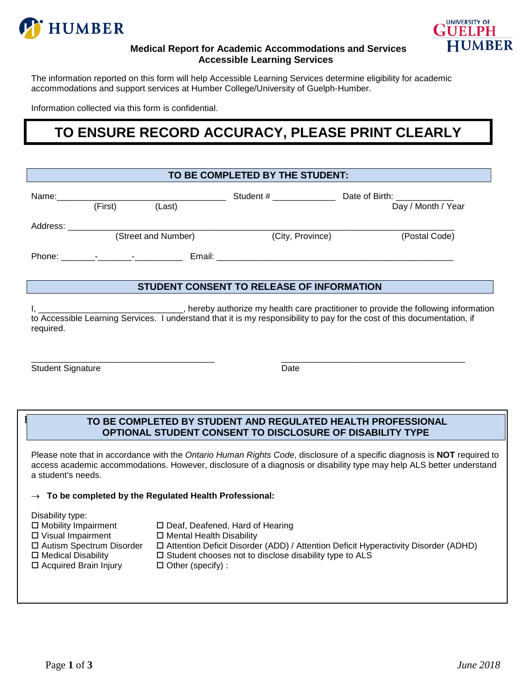



### **Medical Report for Academic Accommodations and Services Accessible Learning Services**

The information reported on this form will help Accessible Learning Services determine eligibility for academic accommodations and support services at Humber College/University of Guelph-Humber.

Information collected via this form is confidential.

# **TO ENSURE RECORD ACCURACY, PLEASE PRINT CLEARLY**

| TO BE COMPLETED BY THE STUDENT:           |         |                     |                                                                                                                                                                                                                                |                                                    |  |  |  |  |
|-------------------------------------------|---------|---------------------|--------------------------------------------------------------------------------------------------------------------------------------------------------------------------------------------------------------------------------|----------------------------------------------------|--|--|--|--|
| Name: _____________                       | (First) | (Last)              | Student # ______________                                                                                                                                                                                                       | Date of Birth: _____________<br>Day / Month / Year |  |  |  |  |
| Address:                                  |         | (Street and Number) | (City, Province)                                                                                                                                                                                                               | (Postal Code)                                      |  |  |  |  |
|                                           |         |                     | Email: Email: Email: Email: Email: Email: Email: Email: Email: Email: Email: Email: Email: Email: Email: Email: Email: Email: Email: Email: Email: Email: Email: Email: Email: Email: Email: Email: Email: Email: Email: Email |                                                    |  |  |  |  |
| STUDENT CONSENT TO RELEASE OF INFORMATION |         |                     |                                                                                                                                                                                                                                |                                                    |  |  |  |  |

I, \_\_\_\_\_\_\_\_\_\_\_\_\_\_\_\_\_\_\_\_\_\_\_\_\_\_\_\_\_\_\_, hereby authorize my health care practitioner to provide the following information to Accessible Learning Services. I understand that it is my responsibility to pay for the cost of this documentation, if required.

\_\_\_\_\_\_\_\_\_\_\_\_\_\_\_\_\_\_\_\_\_\_\_\_\_\_\_\_\_\_\_\_\_\_\_\_\_\_ \_\_\_\_\_\_\_\_\_\_\_\_\_\_\_\_\_\_\_\_\_\_\_\_\_\_\_\_\_\_\_\_\_\_\_\_\_\_ Student Signature Date

## **I** TO BE COMPLETED BY STUDENT AND REGULATED HEALTH PROFESSIONAL **OPTIONAL STUDENT CONSENT TO DISCLOSURE OF DISABILITY TYPE**

Please note that in accordance with the *Ontario Human Rights Code*, disclosure of a specific diagnosis is **NOT** required to access academic accommodations. However, disclosure of a diagnosis or disability type may help ALS better understand a student's needs.

### → **To be completed by the Regulated Health Professional:**

Disability type:

- 
- **D** Visual Impairment **D** Mental Health Disability<br> **D** Autism Spectrum Disorder **D** Attention Deficit Disorde
- 
- 
- $\Box$  Acquired Brain Injury  $\Box$  Other (specify) :
- $\square$  Mobility Impairment  $\square$  Deaf, Deafened, Hard of Hearing  $\square$  Visual Impairment  $\square$  Mental Health Disability
	-
- Autism Spectrum Disorder Attention Deficit Disorder (ADD) / Attention Deficit Hyperactivity Disorder (ADHD)
	- $\Box$  Student chooses not to disclose disability type to ALS
	-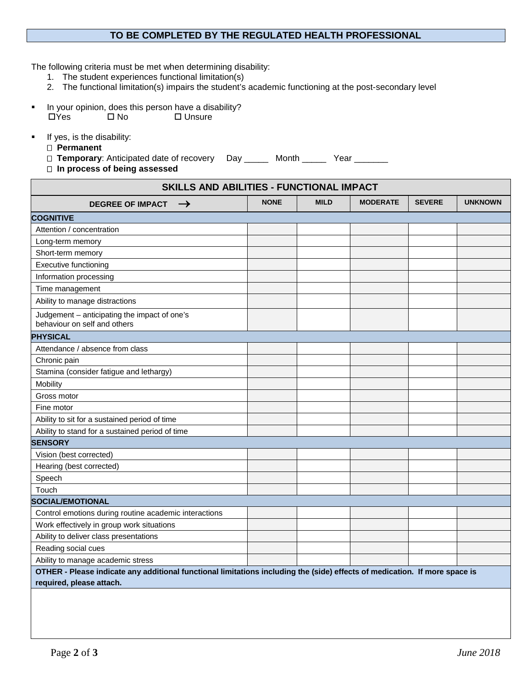## **TO BE COMPLETED BY THE REGULATED HEALTH PROFESSIONAL**

The following criteria must be met when determining disability:

- 1. The student experiences functional limitation(s)
- 2. The functional limitation(s) impairs the student's academic functioning at the post-secondary level
- In your opinion, does this person have a disability?<br>  $\square$  Yes  $\square$  No  $\square$  Unsure  $\square$  Unsure
- **If yes, is the disability:** 
	- **Permanent**

□ Temporary: Anticipated date of recovery Day \_\_\_\_\_ Month \_\_\_\_\_ Year \_\_\_\_\_\_\_

 **In process of being assessed**

| SKILLS AND ABILITIES - FUNCTIONAL IMPACT                                                                                                               |             |             |                 |               |                |  |  |
|--------------------------------------------------------------------------------------------------------------------------------------------------------|-------------|-------------|-----------------|---------------|----------------|--|--|
| <b>DEGREE OF IMPACT</b><br>$\rightarrow$                                                                                                               | <b>NONE</b> | <b>MILD</b> | <b>MODERATE</b> | <b>SEVERE</b> | <b>UNKNOWN</b> |  |  |
| <b>COGNITIVE</b>                                                                                                                                       |             |             |                 |               |                |  |  |
| Attention / concentration                                                                                                                              |             |             |                 |               |                |  |  |
| Long-term memory                                                                                                                                       |             |             |                 |               |                |  |  |
| Short-term memory                                                                                                                                      |             |             |                 |               |                |  |  |
| <b>Executive functioning</b>                                                                                                                           |             |             |                 |               |                |  |  |
| Information processing                                                                                                                                 |             |             |                 |               |                |  |  |
| Time management                                                                                                                                        |             |             |                 |               |                |  |  |
| Ability to manage distractions                                                                                                                         |             |             |                 |               |                |  |  |
| Judgement - anticipating the impact of one's<br>behaviour on self and others                                                                           |             |             |                 |               |                |  |  |
| <b>PHYSICAL</b>                                                                                                                                        |             |             |                 |               |                |  |  |
| Attendance / absence from class                                                                                                                        |             |             |                 |               |                |  |  |
| Chronic pain                                                                                                                                           |             |             |                 |               |                |  |  |
| Stamina (consider fatigue and lethargy)                                                                                                                |             |             |                 |               |                |  |  |
| Mobility                                                                                                                                               |             |             |                 |               |                |  |  |
| Gross motor                                                                                                                                            |             |             |                 |               |                |  |  |
| Fine motor                                                                                                                                             |             |             |                 |               |                |  |  |
| Ability to sit for a sustained period of time                                                                                                          |             |             |                 |               |                |  |  |
| Ability to stand for a sustained period of time                                                                                                        |             |             |                 |               |                |  |  |
| <b>SENSORY</b>                                                                                                                                         |             |             |                 |               |                |  |  |
| Vision (best corrected)                                                                                                                                |             |             |                 |               |                |  |  |
| Hearing (best corrected)                                                                                                                               |             |             |                 |               |                |  |  |
| Speech                                                                                                                                                 |             |             |                 |               |                |  |  |
| Touch                                                                                                                                                  |             |             |                 |               |                |  |  |
| <b>SOCIAL/EMOTIONAL</b>                                                                                                                                |             |             |                 |               |                |  |  |
| Control emotions during routine academic interactions                                                                                                  |             |             |                 |               |                |  |  |
| Work effectively in group work situations                                                                                                              |             |             |                 |               |                |  |  |
| Ability to deliver class presentations                                                                                                                 |             |             |                 |               |                |  |  |
| Reading social cues                                                                                                                                    |             |             |                 |               |                |  |  |
| Ability to manage academic stress                                                                                                                      |             |             |                 |               |                |  |  |
| OTHER - Please indicate any additional functional limitations including the (side) effects of medication. If more space is<br>required, please attach. |             |             |                 |               |                |  |  |